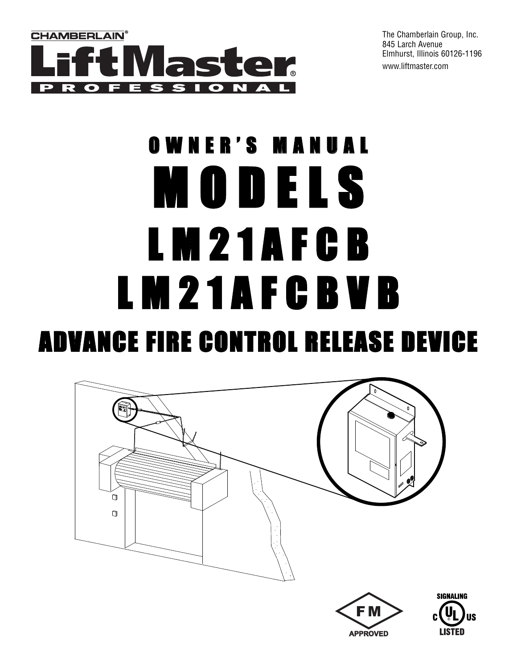

The Chamberlain Group, Inc. 845 Larch Avenue Elmhurst, Illinois 60126-1196 www.liftmaster.com

# OWNER'S MANUAL M O D E L S L M 2 1 A F C B L M 2 1 A F C B V B ADVANCE FIRE CONTROL RELEASE DEVICE

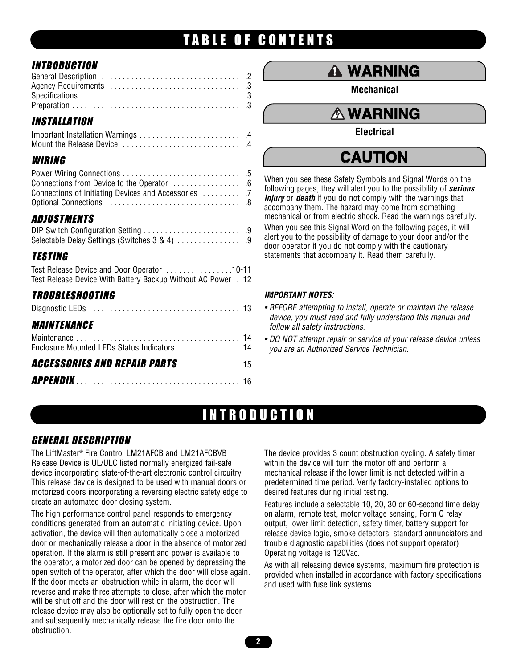# TABLE OF CONTENTS

## **INTRODUCTION**

| <b>INSTALLATION</b> |  |  |  |  |  |  |  |  |  |  |  |  |  |
|---------------------|--|--|--|--|--|--|--|--|--|--|--|--|--|
|                     |  |  |  |  |  |  |  |  |  |  |  |  |  |
|                     |  |  |  |  |  |  |  |  |  |  |  |  |  |
|                     |  |  |  |  |  |  |  |  |  |  |  |  |  |
|                     |  |  |  |  |  |  |  |  |  |  |  |  |  |

### WIRING

# ADJUSTMENTS

| Selectable Delay Settings (Switches 3 & 4) 9 |  |
|----------------------------------------------|--|

# TESTING

| Test Release Device and Door Operator 10-11                |  |
|------------------------------------------------------------|--|
| Test Release Device With Battery Backup Without AC Power12 |  |
|                                                            |  |

# TROUBLESHOOTING

| MAINTENANCE                                 |  |
|---------------------------------------------|--|
| Enclosure Mounted LEDs Status Indicators 14 |  |
| <b>ACCESSORIES AND REPAIR PARTS</b> 15      |  |
|                                             |  |

# **WARNING**

**Mechanical**

### **CAUSE OF STREET WARNING**

**Electrical** 

### WARNING **CAUTION**

When you see these Safety Symbols and Signal Words on the following pages, they will alert you to the possibility of *serious injury* or *death* if you do not comply with the warnings that accompany them. The hazard may come from something mechanical or from electric shock. Read the warnings carefully. When you see this Signal Word on the following pages, it will alert you to the possibility of damage to your door and/or the alert you to the possibility of damage to your door and/or the<br>door operator if you do not comply with the cautionary statements that accompany it. Read them carefully.

#### **AVERTISSEMENT ISOS** *IMPORTANT NOTES:*

- *device, you must read and fully understand this manual and* **ATTENTION** *follow all safety instructions. • BEFORE attempting to install, operate or maintain the release*
- *DO NOT attempt repair or service of your release device unless you are an Authorized Service Technician.*

# INTRODUCTION

### GENERAL DESCRIPTION

adverse above morporaling a reversing electric safety eage to a desired reatures daring miliar testing.<br>Features include a selectable 10, 20, 30 or 60-second time delay The LiftMaster® Fire Control LM21AFCB and LM21AFCBVB Release Device is UL/ULC listed normally energized fail-safe device incorporating state-of-the-art electronic control circuitry. This release device is designed to be used with manual doors or motorized doors incorporating a reversing electric safety edge to create an automated door closing system.

**PRECAUCIÓN PRECAUCIÓN PRECAUCIÓN PRECAUCIÓN PRECAUCIÓN PRECAUCIÓN PRECAUCIÓN PRECAUCIÓN PRECAUCIÓN PRECAUCIÓN PRECAUCIÓN PRECAUCIÓN PRECAUCIÓN PRECAUCIÓN PRECAUCIÓN PRECAUCIÓN PRECAUCIÓN** The high performance control panel responds to emergency conditions generated from an automatic initiating device. Upon door or mechanically release a door in the absence of motorized operation. If the alarm is still present and power is available to the operator, a motorized door can be opened by depressing the open switch of the operator, after which the door will close again. If the door meets an obstruction while in alarm, the door will reverse and make three attempts to close, after which the motor will be shut off and the door will rest on the obstruction. The release device may also be optionally set to fully open the door and subsequently mechanically release the fire door onto the obstruction.

**Profile 2 Profile 2** *Profile 2 Profile 2 Profile 3* **<b>***Profile 3 Profile 3* The device provides 3 count obstruction cycling. A safety timer<br>within the device will turn the motor off and perform a The device provides 3 count obstruction cycling. A safety timer mechanical release if the lower limit is not detected within a predetermined time period. Verify factory-installed options to desired features during initial testing.

**PRECAUCIÓN EN EXAMPLE EN EXAMPLE DE L'ACTE de l'ADVACIÓN EN EL POLITION DE L'ACTE DE L'ACTE DE L'ACTE DE L'ACTE DE L'ACTE DE L'ACTE DE L'ACTE DE L'ACTE DE L'ACTE DE L'ACTE DE L'ACTE DE L'ACTE DE L'ACTE DE L'ACTE DE L'ACTE** reatures include a selectable 10, 20, 30 or oo-second time delay<br>on alarm, remote test, motor voltage sensing, Form C relay output, lower limit detection, safety timer, battery support for release device logic, smoke detectors, standard annunciators and Operating voltage is 120Vac.

As with all releasing device systems, maximum fire protection is provided when installed in accordance with factory specifications and used with fuse link systems.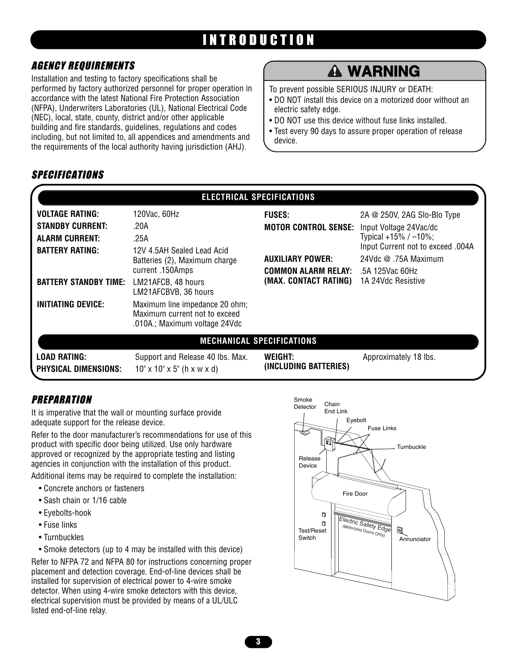# INTRODUCTION

### AGENCY REQUIREMENTS

Installation and testing to factory specifications shall be performed by factory authorized personnel for proper operation in accordance with the latest National Fire Protection Association (NFPA), Underwriters Laboratories (UL), National Electrical Code (NEC), local, state, county, district and/or other applicable building and fire standards, guidelines, regulations and codes including, but not limited to, all appendices and amendments and the requirements of the local authority having jurisdiction (AHJ).

# **WARNING**

To prevent possible SERIOUS INJURY or DEATH:

- DO NOT install this device on a motorized door without an<br>electric safetv edge. electric safety edge.
- DO NOT use this device without fuse links installed.
- Test every 90 days to assure proper operation of release device.

### SPECIFICATIONS

|                                                                            |                                                                                                                                                                    | <b>ELECTRICAL SPECIFICATIONS</b>                       |                                                                                                                 |
|----------------------------------------------------------------------------|--------------------------------------------------------------------------------------------------------------------------------------------------------------------|--------------------------------------------------------|-----------------------------------------------------------------------------------------------------------------|
| <b>VOLTAGE RATING:</b>                                                     | 120Vac, 60Hz                                                                                                                                                       | <b>FUSES:</b>                                          | 2A $@$ 250V, 2AG SIo-BIo Type                                                                                   |
| <b>STANDBY CURRENT:</b><br><b>ALARM CURRENT:</b><br><b>BATTERY RATING:</b> | .20A<br>.25A<br>12V 4.5AH Sealed Lead Acid<br>Batteries (2), Maximum charge                                                                                        | <b>MOTOR CONTROL SENSE:</b><br><b>AUXILIARY POWER:</b> | Input Voltage 24Vac/dc<br>Typical +15% / $-10\%$ ;<br>Input Current not to exceed .004A<br>24Vdc @ .75A Maximum |
| <b>BATTERY STANDBY TIME:</b><br><b>INITIATING DEVICE:</b>                  | current .150Amps<br>LM21AFCB, 48 hours<br>LM21AFCBVB, 36 hours<br>Maximum line impedance 20 ohm;<br>Maximum current not to exceed<br>.010A.; Maximum voltage 24Vdc | <b>COMMON ALARM RELAY:</b><br>(MAX. CONTACT RATING)    | .5A 125Vac 60Hz<br>1A 24Vdc Resistive                                                                           |
|                                                                            |                                                                                                                                                                    | <b>MECHANICAL SPECIFICATIONS</b>                       |                                                                                                                 |
| LOAD RATING:<br><b>PHYSICAL DIMENSIONS:</b>                                | Support and Release 40 lbs. Max.<br>$10'' \times 10'' \times 5''$ (h x w x d)                                                                                      | WEIGHT:<br>(INCLUDING BATTERIES)                       | Approximately 18 lbs.                                                                                           |

# **PREPARATION**

It is imperative that the wall or mounting surface provide adequate support for the release device.

Refer to the door manufacturer's recommendations for use of this product with specific door being utilized. Use only hardware approved or recognized by the appropriate testing and listing agencies in conjunction with the installation of this product.

Additional items may be required to complete the installation:

- Concrete anchors or fasteners
- Sash chain or 1/16 cable
- Eyebolts-hook
- Fuse links
- Turnbuckles

• Smoke detectors (up to 4 may be installed with this device) Refer to NFPA 72 and NFPA 80 for instructions concerning proper placement and detection coverage. End-of-line devices shall be installed for supervision of electrical power to 4-wire smoke detector. When using 4-wire smoke detectors with this device, electrical supervision must be provided by means of a UL/ULC listed end-of-line relay.

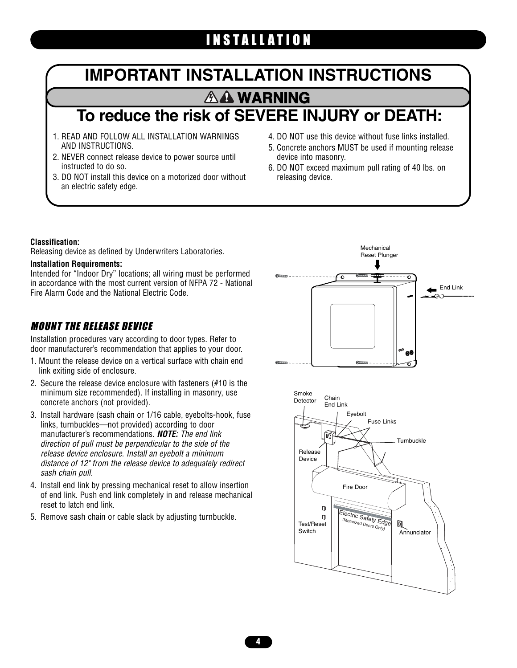# INSTALLATION

# **IMPORTANT INSTALLATION INSTRUCTIONS** U LATI**on A WARNING**

# **To reduce the risk of SEVERE INJURY or DEATH:**

- 1. READ AND FOLLOW ALL INSTALLATION WARNINGS AND INSTRUCTIONS.
- 2. NEVER connect release device to power source until instructed to do so.
- 3. DO NOT install this device on a motorized door without an electric safety edge.
- 4. DO NOT use this device without fuse links installed.
- 5. Concrete anchors MUST be used if mounting release device into masonry.
- 6. DO NOT exceed maximum pull rating of 40 lbs. on releasing device.

#### **Classification:**

Releasing device as defined by Underwriters Laboratories.

#### **Installation Requirements:**

**Installation Requirements:**<br>Intended for "Indoor Dry" locations; all wiring must be performed in accordance with the most current version of NFPA 72 - National Fire Alarm Code and the National Electric Code.

### MOUNT THE RELEASE DEVICE

Installation procedures vary according to door types. Refer to door manufacturer's recommendation that applies to your door.

- 1. Mount the release device on a vertical surface with chain end link exiting side of enclosure.
- 2. Secure the release device enclosure with fasteners (#10 is the minimum size recommended). If installing in masonry, use concrete anchors (not provided).
- 3. Install hardware (sash chain or 1/16 cable, eyebolts-hook, fuse links, turnbuckles—not provided) according to door manufacturer's recommendations. *NOTE: The end link direction of pull must be perpendicular to the side of the release device enclosure. Install an eyebolt a minimum distance of 12" from the release device to adequately redirect sash chain pull.*
- 4. Install end link by pressing mechanical reset to allow insertion of end link. Push end link completely in and release mechanical reset to latch end link.
	- 5. Remove sash chain or cable slack by adjusting turnbuckle.



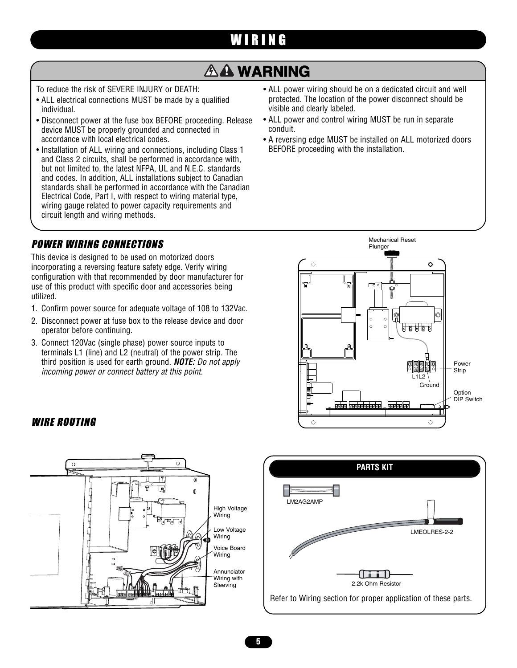# WIRING **WARNING**

# **A WARNING**

To reduce the risk of SEVERE INJURY or DEATH:

- ALL electrical connections MUST be made by a qualified individual.
- Disconnect power at the fuse box BEFORE proceeding. Release device MUST be properly grounded and connected in accordance with local electrical codes.
- Installation of ALL wiring and connections, including Class 1 and Class 2 circuits, shall be performed in accordance with, but not limited to, the latest NFPA, UL and N.E.C. standards and codes. In addition, ALL installations subject to Canadian standards shall be performed in accordance with the Canadian Electrical Code, Part I, with respect to wiring material type, wiring gauge related to power capacity requirements and<br>circuit length and wiring methods circuit length and wiring methods.

### POWER WIRING CONNECTIONS

This device is designed to be used on motorized doors incorporating a reversing feature safety edge. Verify wiring configuration with that recommended by door manufacturer for use of this product with specific door and accessories being utilized.

- 1. Confirm power source for adequate voltage of 108 to 132Vac.
- 2. Disconnect power at fuse box to the release device and door operator before continuing.
- 3. Connect 120Vac (single phase) power source inputs to terminals L1 (line) and L2 (neutral) of the power strip. The third position is used for earth ground. *NOTE: Do not apply incoming power or connect battery at this point.*
- ALL power wiring should be on a dedicated circuit and well protected. The location of the power disconnect should be visible and clearly labeled.
- ALL power and control wiring MUST be run in separate conduit.
- A reversing edge MUST be installed on ALL motorized doors BEFORE proceeding with the installation.



#### WIRE ROUTING **ADVERTING**



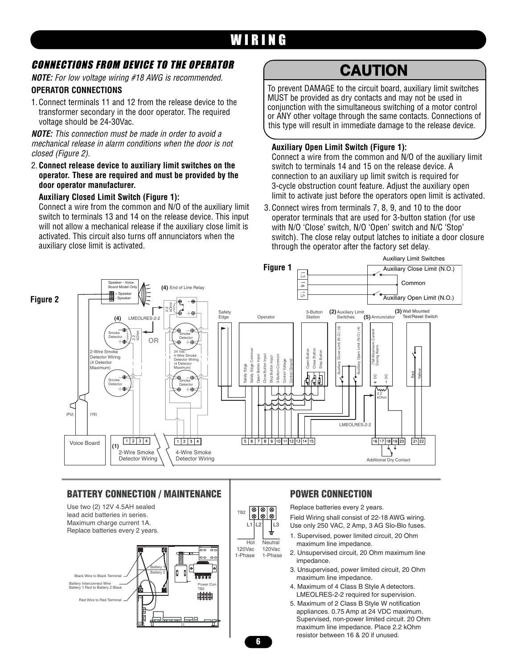# WIRING

### CONNECTIONS FROM DEVICE TO THE OPERATOR

*NOTE: For low voltage wiring #18 AWG is recommended.*

#### **OPERATOR CONNECTIONS**

1. Connect terminals 11 and 12 from the release device to the transformer secondary in the door operator. The required voltage should be 24-30Vac.

*NOTE: This connection must be made in order to avoid a mechanical release in alarm conditions when the door is not closed (Figure 2).*

2. **Connect release device to auxiliary limit switches on the operator. These are required and must be provided by the door operator manufacturer.**

#### **Auxiliary Closed Limit Switch (Figure 1):**

Connect a wire from the common and N/O of the auxiliary limit switch to terminals 13 and 14 on the release device. This input will not allow a mechanical release if the auxiliary close limit is activated. This circuit also turns off annunciators when the auxiliary close limit is activated.

# **CAUTION**

To prevent DAMAGE to the circuit board, auxiliary limit switches MUST be provided as dry contacts and may not be used in conjunction with the simultaneous switching of a motor control or ANY other voltage through the same contacts. Connections of this type will result in immediate damage to the release device.

#### **Auxiliary Open Limit Switch (Figure 1):**

Connect a wire from the common and N/O of the auxiliary limit switch to terminals 14 and 15 on the release device. A connection to an auxiliary up limit switch is required for 3-cycle obstruction count feature. Adjust the auxiliary open limit to activate just before the operators open limit is activated.

switch). The close relay output latches to initiat<br>through the operator after the factory set delay. 3. Connect wires from terminals 7, 8, 9, and 10 to the door operator terminals that are used for 3-button station (for use with N/O 'Close' switch, N/O 'Open' switch and N/C 'Stop' switch). The close relay output latches to initiate a door closure



### **BATTERY CONNECTION / MAINTENANCE**



#### TB2 ∣⊗ |⊗ **⊗** L1 L2 L3 Hot **Neutral** 120Vac 120Vac 1-Phase 1-Phase

#### **POWER CONNECTION**

Replace batteries every 2 years.

Field Wiring shall consist of 22-18 AWG wiring. Use only 250 VAC, 2 Amp, 3 AG Slo-Blo fuses.

- 1. Supervised, power limited circuit, 20 Ohm maximum line impedance.
- 2. Unsupervised circuit, 20 Ohm maximum line impedance.
- 3. Unsupervised, power limited circuit, 20 Ohm maximum line impedance.
- 4. Maximum of 4 Class B Style A detectors. LMEOLRES-2-2 required for supervision.
- 5. Maximum of 2 Class B Style W notification appliances. 0.75 Amp at 24 VDC maximum. Supervised, non-power limited circuit. 20 Ohm maximum line impedance. Place 2.2 kOhm resistor between 16 & 20 if unused.

**6**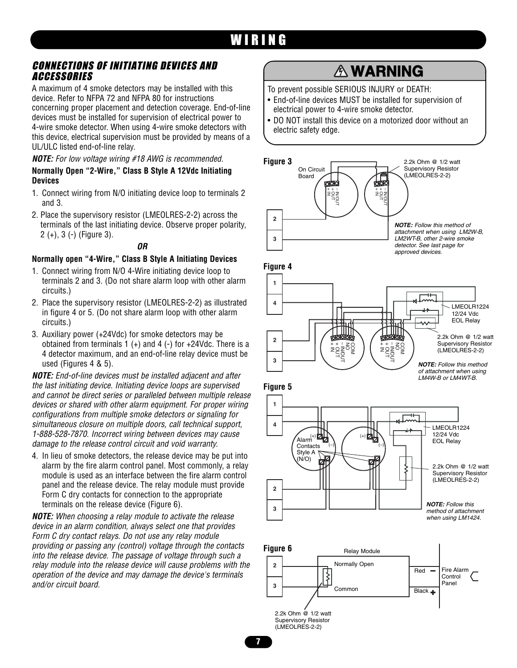# WIRING

### CONNECTIONS OF INITIATING DEVICES AND<br>ACCESSORIES ACCESSORIES

A maximum of 4 smoke detectors may be installed with this device. Refer to NFPA 72 and NFPA 80 for instructions device. Heler to NFPA 72 and NFPA ou for instructions<br>concerning proper placement and detection coverage. End-of-line devices must be installed for supervision of electrical power to 4-wire smoke detector. When using 4-wire smoke detectors with this device, electrical supervision must be provided by means of a UL/ULC listed end-of-line relay.

*NOTE: For low voltage wiring #18 AWG is recommended.*

#### **Normally Open "2-Wire," Class B Style A 12Vdc Initiating Devices**

- 1. Connect wiring from N/O initiating device loop to terminals 2 and 3.
- 2. Place the supervisory resistor (LMEOLRES-2-2) across the terminals of the last initiating device. Observe proper polarity, 2 (+), 3 (-) (Figure 3).

#### *OR*

#### **Normally open "4-Wire," Class B Style A Initiating Devices**

- 1. Connect wiring from N/O 4-Wire initiating device loop to Connect wiring from N/O 4-Wire initiating device loop to<br>terminals 2 and 3. (Do not share alarm loop with other alarm circuits.)
- 2. Place the supervisory resistor (LMEOLRES-2-2) as illustrated in figure 4 or 5. (Do not share alarm loop with other alarm circuits.)
- 3. Auxiliary power (+24Vdc) for smoke detectors may be obtained from terminals  $1 (+)$  and  $4 (-)$  for  $+24$ Vdc. There is a 4 detector maximum, and an end-of-line relay device must be used (Figures 4 & 5).

*NOTE: End-of-line devices must be installed adjacent and after the last initiating device. Initiating device loops are supervised and cannot be direct series or paralleled between multiple release devices or shared with other alarm equipment. For proper wiring configurations from multiple smoke detectors or signaling for simultaneous closure on multiple doors, call technical support, 1-888-528-7870. Incorrect wiring between devices may cause damage to the release control circuit and void warranty.*

4. In lieu of smoke detectors, the release device may be put into  $\binom{StyleA}{(N/O)}$ alarm by the fire alarm control panel. Most commonly, a relay module is used as an interface between the fire alarm control panel and the release device. The relay module must provide panel and the release device. The relay module must provide<br>Form C dry contacts for connection to the appropriate terminals on the release device (Figure 6).

*NOTE: When choosing a relay module to activate the release device in an alarm condition, always select one that provides Form C dry contact relays. Do not use any relay module providing or passing any (control) voltage through the contacts into the release device. The passage of voltage through such a relay module into the release device will cause problems with the operation of the device and may damage the device's terminals and/or circuit board.*

# **WARNING**

To prevent possible SERIOUS INJURY or DEATH:

- End-of-line devices MUST be installed for supervision of End-of-line devices MUST be installed for super<br>electrical power to 4-wire smoke detector.
- DO NOT install this device on a motorized door without an electric safety edge.









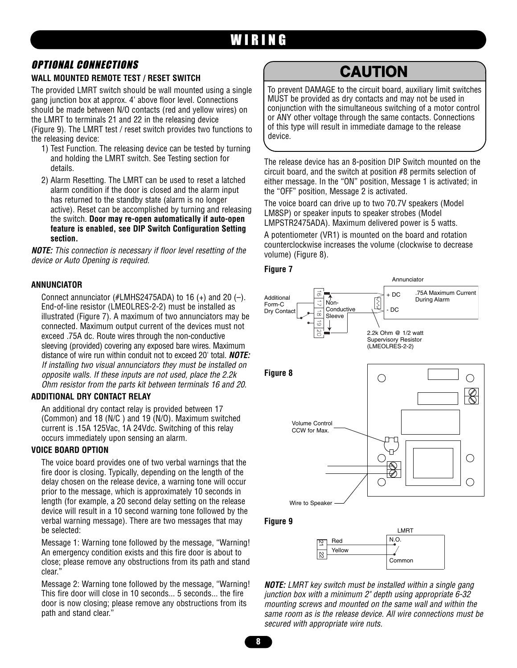# WIRING

### OPTIONAL CONNECTIONS

#### **WALL MOUNTED REMOTE TEST / RESET SWITCH**

The provided LMRT switch should be wall mounted using a single gang junction box at approx. 4' above floor level. Connections should be made between N/O contacts (red and yellow wires) on the LMRT to terminals 21 and 22 in the releasing device (Figure 9). The LMRT test / reset switch provides two functions to the releasing device:

- 1) Test Function. The releasing device can be tested by turning and holding the LMRT switch. See Testing section for details.
- 2) Alarm Resetting. The LMRT can be used to reset a latched alarm condition if the door is closed and the alarm input has returned to the standby state (alarm is no longer active). Reset can be accomplished by turning and releasing the switch. **Door may re-open automatically if auto-open feature is enabled, see DIP Switch Configuration Setting section.**

*NOTE: This connection is necessary if floor level resetting of the device or Auto Opening is required.*

#### **ANNUNCIATOR**

Connect annunciator (#LMHS2475ADA) to 16  $(+)$  and 20  $(-)$ . End-of-line resistor (LMEOLRES-2-2) must be installed as illustrated (Figure 7). A maximum of two annunciators may be connected. Maximum output current of the devices must not exceed .75A dc. Route wires through the non-conductive sleeving (provided) covering any exposed bare wires. Maximum distance of wire run within conduit not to exceed 20' total. *NOTE: If installing two visual annunciators they must be installed on opposite walls. If these inputs are not used, place the 2.2k Ohm resistor from the parts kit between terminals 16 and 20.*

#### **ADDITIONAL DRY CONTACT RELAY**

An additional dry contact relay is provided between 17 (Common) and 18 (N/C ) and 19 (N/O). Maximum switched current is .15A 125Vac, 1A 24Vdc. Switching of this relay occurs immediately upon sensing an alarm.

#### **VOICE BOARD OPTION**

The voice board provides one of two verbal warnings that the fire door is closing. Typically, depending on the length of the delay chosen on the release device, a warning tone will occur prior to the message, which is approximately 10 seconds in length (for example, a 20 second delay setting on the release device will result in a 10 second warning tone followed by the verbal warning message). There are two messages that may be selected:

Message 1: Warning tone followed by the message, "Warning! An emergency condition exists and this fire door is about to close; please remove any obstructions from its path and stand clear."

Message 2: Warning tone followed by the message, "Warning! This fire door will close in 10 seconds... 5 seconds... the fire door is now closing; please remove any obstructions from its path and stand clear."

# **CAUTION**

To prevent DAMAGE to the circuit board, auxiliary limit switches MUST be provided as dry contacts and may not be used in conjunction with the simultaneous switching of a motor control or ANY other voltage through the same contacts. Connections of this type will result in immediate damage to the release device.

The release device has an 8-position DIP Switch mounted on the circuit board, and the switch at position #8 permits selection of either message. In the "ON" position, Message 1 is activated; in the "OFF" position, Message 2 is activated.

The voice board can drive up to two 70.7V speakers (Model<br>LM8SP) or speaker inputs to speaker strobes (Model The voice board can drive up to two 70.7V speakers (Model LMPSTR2475ADA). Maximum delivered power is 5 watts.

**ATTENTION** counterclockwise increases the volume (clockwise to decrease A potentiometer (VR1) is mounted on the board and rotation volume) (Figure 8).





**Figure 9**



*NOTE: LMRT key switch must be installed within a single gang junction box with a minimum 2" depth using appropriate 6-32 mounting screws and mounted on the same wall and within the same room as is the release device. All wire connections must be secured with appropriate wire nuts.*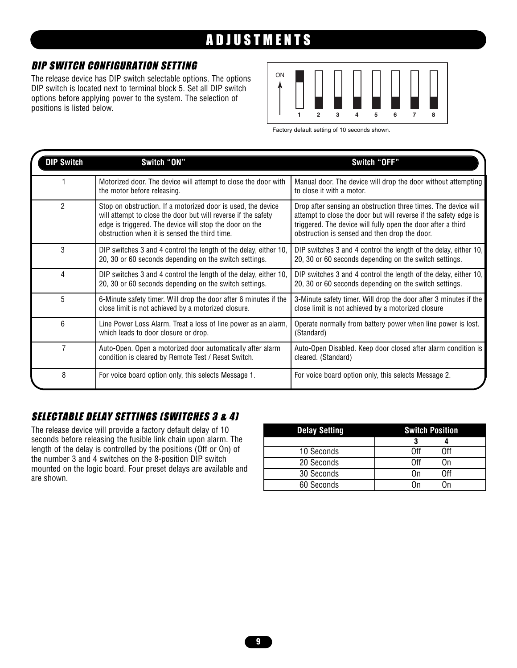# ADJUSTMENTS

## DIP SWITCH CONFIGURATION SETTING

The release device has DIP switch selectable options. The options DIP switch is located next to terminal block 5. Set all DIP switch options before applying power to the system. The selection of positions is listed below.



Factory default setting of 10 seconds shown.

| <b>DIP Switch</b> | Switch "ON"                                                                                                                                                                                                                               | Switch "OFF"                                                                                                                                                                                                                                        |
|-------------------|-------------------------------------------------------------------------------------------------------------------------------------------------------------------------------------------------------------------------------------------|-----------------------------------------------------------------------------------------------------------------------------------------------------------------------------------------------------------------------------------------------------|
|                   | Motorized door. The device will attempt to close the door with<br>the motor before releasing.                                                                                                                                             | Manual door. The device will drop the door without attempting<br>to close it with a motor.                                                                                                                                                          |
| 2                 | Stop on obstruction. If a motorized door is used, the device<br>will attempt to close the door but will reverse if the safety<br>edge is triggered. The device will stop the door on the<br>obstruction when it is sensed the third time. | Drop after sensing an obstruction three times. The device will<br>attempt to close the door but will reverse if the safety edge is<br>triggered. The device will fully open the door after a third<br>obstruction is sensed and then drop the door. |
| 3                 | DIP switches 3 and 4 control the length of the delay, either 10,<br>20, 30 or 60 seconds depending on the switch settings.                                                                                                                | DIP switches 3 and 4 control the length of the delay, either 10,<br>20, 30 or 60 seconds depending on the switch settings.                                                                                                                          |
| 4                 | DIP switches 3 and 4 control the length of the delay, either 10,<br>20, 30 or 60 seconds depending on the switch settings.                                                                                                                | DIP switches 3 and 4 control the length of the delay, either 10,<br>20, 30 or 60 seconds depending on the switch settings.                                                                                                                          |
| 5                 | 6-Minute safety timer. Will drop the door after 6 minutes if the<br>close limit is not achieved by a motorized closure.                                                                                                                   | 3-Minute safety timer. Will drop the door after 3 minutes if the<br>close limit is not achieved by a motorized closure                                                                                                                              |
| 6                 | Line Power Loss Alarm. Treat a loss of line power as an alarm,<br>which leads to door closure or drop.                                                                                                                                    | Operate normally from battery power when line power is lost.<br>(Standard)                                                                                                                                                                          |
| 7                 | Auto-Open. Open a motorized door automatically after alarm<br>condition is cleared by Remote Test / Reset Switch.                                                                                                                         | Auto-Open Disabled. Keep door closed after alarm condition is<br>cleared. (Standard)                                                                                                                                                                |
| 8                 | For voice board option only, this selects Message 1.                                                                                                                                                                                      | For voice board option only, this selects Message 2.                                                                                                                                                                                                |

### SELECTABLE DELAY SETTINGS (SWITCHES 3 & 4)

The release device will provide a factory default delay of 10 seconds before releasing the fusible link chain upon alarm. The length of the delay is controlled by the positions (Off or On) of the number 3 and 4 switches on the 8-position DIP switch mounted on the logic board. Four preset delays are available and are shown.

| <b>Delay Setting</b> | <b>Switch Position</b> |
|----------------------|------------------------|
|                      |                        |
| 10 Seconds           | ∩ff<br>ገff             |
| 20 Seconds           | ገff<br>()n             |
| 30 Seconds           | ∩ff                    |
| 60 Seconds           |                        |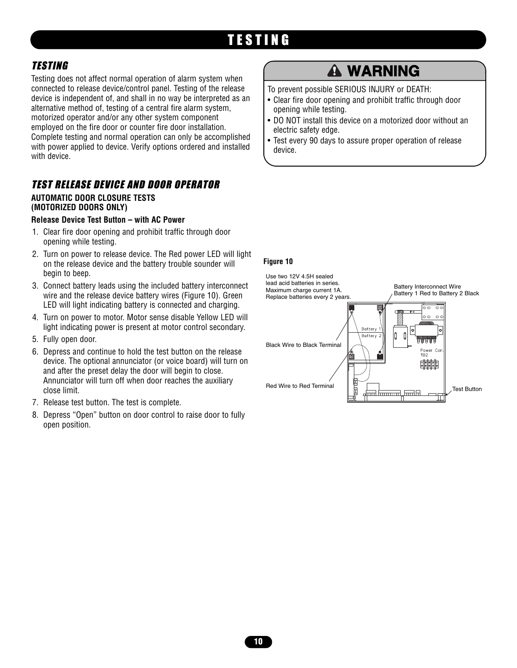# TESTING

### TESTING

Testing does not affect normal operation of alarm system when connected to release device/control panel. Testing of the release device is independent of, and shall in no way be interpreted as an alternative method of, testing of a central fire alarm system, motorized operator and/or any other system component employed on the fire door or counter fire door installation. Complete testing and normal operation can only be accomplished with power applied to device. Verify options ordered and installed with device.

### TEST RELEASE DEVICE AND DOOR OPERATOR **AUTOMATIC DOOR CLOSURE TESTS**

#### **(MOTORIZED DOORS ONLY)**

#### **Release Device Test Button – with AC Power**

- 1. Clear fire door opening and prohibit traffic through door opening while testing.
- 2. Turn on power to release device. The Red power LED will light on the release device and the battery trouble sounder will begin to beep.
- 3. Connect battery leads using the included battery interconnect wire and the release device battery wires (Figure 10). Green LED will light indicating battery is connected and charging.
- 4. Turn on power to motor. Motor sense disable Yellow LED will light indicating power is present at motor control secondary.
- 5. Fully open door.
- 6. Depress and continue to hold the test button on the release device. The optional annunciator (or voice board) will turn on and after the preset delay the door will begin to close. Annunciator will turn off when door reaches the auxiliary close limit.
- 7. Release test button. The test is complete.
- 8. Depress "Open" button on door control to raise door to fully open position.

# **WARNING**

To prevent possible SERIOUS INJURY or DEATH:

- Clear fire door opening and prohibit traffic through door<br>copening while testing. opening while testing.
- DO NOT install this device on a motorized door without an electric safety edge.
- Test every 90 days to assure proper operation of release device.

#### **Figure 10**

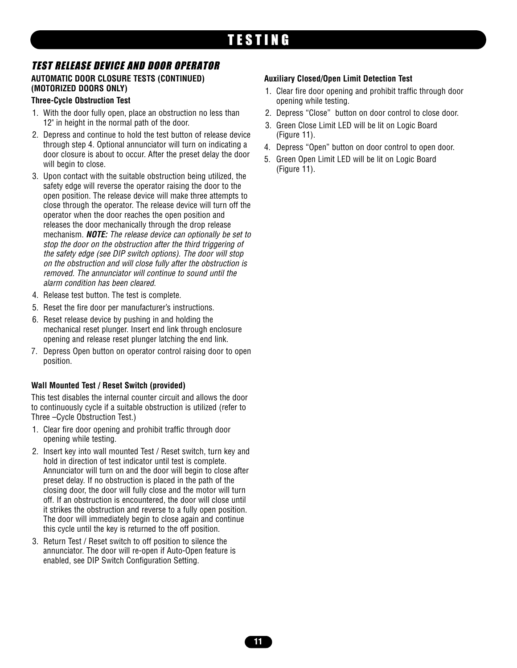# TESTING

# TEST RELEASE DEVICE AND DOOR OPERATOR

#### **AUTOMATIC DOOR CLOSURE TESTS (CONTINUED) (MOTORIZED DOORS ONLY)**

#### **Three-Cycle Obstruction Test**

- 1. With the door fully open, place an obstruction no less than 12" in height in the normal path of the door.
- 2. Depress and continue to hold the test button of release device through step 4. Optional annunciator will turn on indicating a door closure is about to occur. After the preset delay the door will begin to close.
- 3. Upon contact with the suitable obstruction being utilized, the safety edge will reverse the operator raising the door to the open position. The release device will make three attempts to close through the operator. The release device will turn off the operator when the door reaches the open position and releases the door mechanically through the drop release mechanism. *NOTE: The release device can optionally be set to stop the door on the obstruction after the third triggering of the safety edge (see DIP switch options). The door will stop on the obstruction and will close fully after the obstruction is removed. The annunciator will continue to sound until the alarm condition has been cleared.*
- 4. Release test button. The test is complete.
- 5. Reset the fire door per manufacturer's instructions.
- 6. Reset release device by pushing in and holding the mechanical reset plunger. Insert end link through enclosure opening and release reset plunger latching the end link.
- 7. Depress Open button on operator control raising door to open position.

#### **Wall Mounted Test / Reset Switch (provided)**

This test disables the internal counter circuit and allows the door to continuously cycle if a suitable obstruction is utilized (refer to Three –Cycle Obstruction Test.)

- 1. Clear fire door opening and prohibit traffic through door opening while testing.
- 2. Insert key into wall mounted Test / Reset switch, turn key and hold in direction of test indicator until test is complete. Annunciator will turn on and the door will begin to close after preset delay. If no obstruction is placed in the path of the closing door, the door will fully close and the motor will turn off. If an obstruction is encountered, the door will close until it strikes the obstruction and reverse to a fully open position. The door will immediately begin to close again and continue this cycle until the key is returned to the off position.
- 3. Return Test / Reset switch to off position to silence the annunciator. The door will re-open if Auto-Open feature is enabled, see DIP Switch Configuration Setting.

#### **Auxiliary Closed/Open Limit Detection Test**

- 1. Clear fire door opening and prohibit traffic through door opening while testing.
- 2. Depress "Close" button on door control to close door.
- 3. Green Close Limit LED will be lit on Logic Board (Figure 11).
- 4. Depress "Open" button on door control to open door.
- 5. Green Open Limit LED will be lit on Logic Board (Figure 11).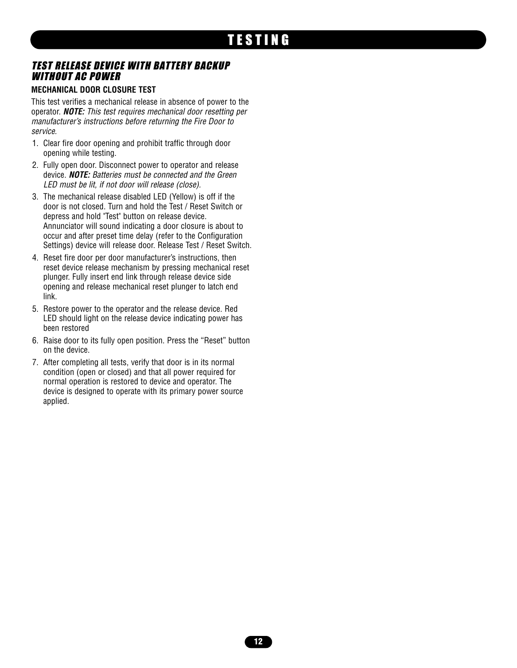### TEST RELEASE DEVICE WITH BATTERY BACKUP WITHOUT AC POWER

#### **MECHANICAL DOOR CLOSURE TEST**

This test verifies a mechanical release in absence of power to the operator. *NOTE: This test requires mechanical door resetting per manufacturer's instructions before returning the Fire Door to service.*

- 1. Clear fire door opening and prohibit traffic through door opening while testing.
- 2. Fully open door. Disconnect power to operator and release device. *NOTE: Batteries must be connected and the Green LED must be lit, if not door will release (close).*
- 3. The mechanical release disabled LED (Yellow) is off if the door is not closed. Turn and hold the Test / Reset Switch or depress and hold "Test" button on release device. Annunciator will sound indicating a door closure is about to occur and after preset time delay (refer to the Configuration Settings) device will release door. Release Test / Reset Switch.
- 4. Reset fire door per door manufacturer's instructions, then reset device release mechanism by pressing mechanical reset plunger. Fully insert end link through release device side opening and release mechanical reset plunger to latch end link.
- 5. Restore power to the operator and the release device. Red LED should light on the release device indicating power has been restored
- 6. Raise door to its fully open position. Press the "Reset" button on the device.
- 7. After completing all tests, verify that door is in its normal condition (open or closed) and that all power required for normal operation is restored to device and operator. The device is designed to operate with its primary power source applied.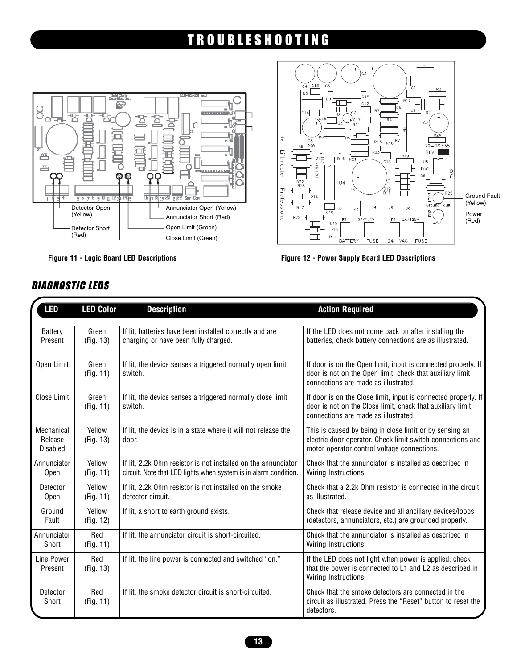# TROUBLESHOOTING





**Figure 11 - Logic Board LED Descriptions Figure 12 - Power Supply Board LED Descriptions**

| <b>LED</b>                               | <b>LED Color</b>    | <b>Description</b>                                                                                                                | <b>Action Required</b>                                                                                                                                               |
|------------------------------------------|---------------------|-----------------------------------------------------------------------------------------------------------------------------------|----------------------------------------------------------------------------------------------------------------------------------------------------------------------|
| <b>Battery</b><br>Present                | Green<br>(Fig. 13)  | If lit, batteries have been installed correctly and are<br>charging or have been fully charged.                                   | If the LED does not come back on after installing the<br>batteries, check battery connections are as illustrated.                                                    |
| Open Limit                               | Green<br>(Fig. 11)  | If lit, the device senses a triggered normally open limit<br>switch.                                                              | If door is on the Open limit, input is connected properly. If<br>door is not on the Open limit, check that auxiliary limit<br>connections are made as illustrated.   |
| Close Limit                              | Green<br>(Fig. 11)  | If lit, the device senses a triggered normally close limit<br>switch.                                                             | If door is on the Close limit, input is connected properly. If<br>door is not on the Close limit, check that auxiliary limit<br>connections are made as illustrated. |
| Mechanical<br>Release<br><b>Disabled</b> | Yellow<br>(Fig. 13) | If lit, the device is in a state where it will not release the<br>door.                                                           | This is caused by being in close limit or by sensing an<br>electric door operator. Check limit switch connections and<br>motor operator control voltage connections. |
| Annunciator<br><b>Open</b>               | Yellow<br>(Fig. 11) | If lit, 2.2k Ohm resistor is not installed on the annunciator<br>circuit. Note that LED lights when system is in alarm condition. | Check that the annunciator is installed as described in<br>Wiring Instructions.                                                                                      |
| Detector<br>Open                         | Yellow<br>(Fig. 11) | If lit, 2.2k Ohm resistor is not installed on the smoke<br>detector circuit.                                                      | Check that a 2.2k Ohm resistor is connected in the circuit<br>as illustrated.                                                                                        |
| Ground<br>Fault                          | Yellow<br>(Fig. 12) | If lit, a short to earth ground exists.                                                                                           | Check that release device and all ancillary devices/loops<br>(detectors, annunciators, etc.) are grounded properly.                                                  |
| Annunciator<br>Short                     | Red<br>(Fig. 11)    | If lit, the annunciator circuit is short-circuited.                                                                               | Check that the annunciator is installed as described in<br>Wiring Instructions.                                                                                      |
| Line Power<br>Present                    | Red<br>(Fig. 13)    | If lit, the line power is connected and switched "on."                                                                            | If the LED does not light when power is applied, check<br>that the power is connected to L1 and L2 as described in<br>Wiring Instructions.                           |
| Detector<br>Short                        | Red<br>(Fig. 11)    | If lit, the smoke detector circuit is short-circuited.                                                                            | Check that the smoke detectors are connected in the<br>circuit as illustrated. Press the "Reset" button to reset the<br>detectors.                                   |

### DIAGNOSTIC LEDS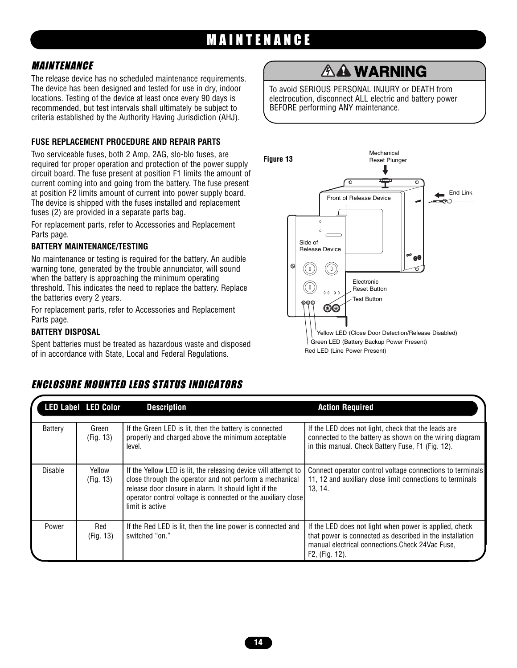# MAINTENANCE

### MAINTENANCE

**MAIN I ENANGE**<br>The release device has no scheduled maintenance requirements. The device has been designed and tested for use in dry, indoor locations. Testing of the device at least once every 90 days is recommended, but test intervals shall ultimately be subject to criteria established by the Authority Having Jurisdiction (AHJ).

### **FUSE REPLACEMENT PROCEDURE AND REPAIR PARTS**

The device is shipped with the fuses installed and replacement<br>fuses (2) are provided in a separate parts bag. Two serviceable fuses, both 2 Amp, 2AG, slo-blo fuses, are required for proper operation and protection of the power supply circuit board. The fuse present at position F1 limits the amount of current coming into and going from the battery. The fuse present at position F2 limits amount of current into power supply board. The device is shipped with the fuses installed and replacement

For replacement parts, refer to Accessories and Replacement Parts page.

# **ATTENTION BATTERY MAINTENANCE/TESTING**

No maintenance or testing is required for the battery. An audible warning tone, generated by the trouble annunciator, will sound when the battery is approaching the minimum operating threshold. This indicates the need to replace the battery. Replace the batteries every 2 years.

For replacement parts, refer to Accessories and Replacement Parts page.

#### **BATTERY DISPOSAL**

Spent batteries must be treated as hazardous waste and disposed of in accordance with State, Local and Federal Regulations.

#### **PRECAUCIÓN ADVERTENCIA** Battery Green | If the Green LED is lit, then the battery is connected | If the LED does not light, check that the lea Battery | Green (Fig. 13) properly and charged above the minimum acceptable level. If the LED does not light, check that the leads are connected to the battery as shown on the wiring diagram in this manual. Check Battery Fuse, F1 (Fig. 12). Disable Yellow (Fig. 13) If the Yellow LED is lit, the releasing device will attempt to close through the operator and not perform a mechanical release door closure in alarm. It should light if the operator control voltage is connected or the auxiliary close limit is active Connect operator control voltage connections to terminals 11, 12 and auxiliary close limit connections to terminals 13, 14. Power | Red (Fig. 13) If the Red LED is lit, then the line power is connected and switched "on." If the LED does not light when power is applied, check that power is connected as described in the installation manual electrical connections.Check 24Vac Fuse, F2, (Fig. 12). **LED Label LED Color Description Action Required**

### ENCLOSURE MOUNTED LEDS STATUS INDICATORS

# **WARNING**

To avoid SERIOUS PERSONAL INJURY or DEATH from electrocution, disconnect ALL electric and battery power BEFORE performing ANY maintenance.

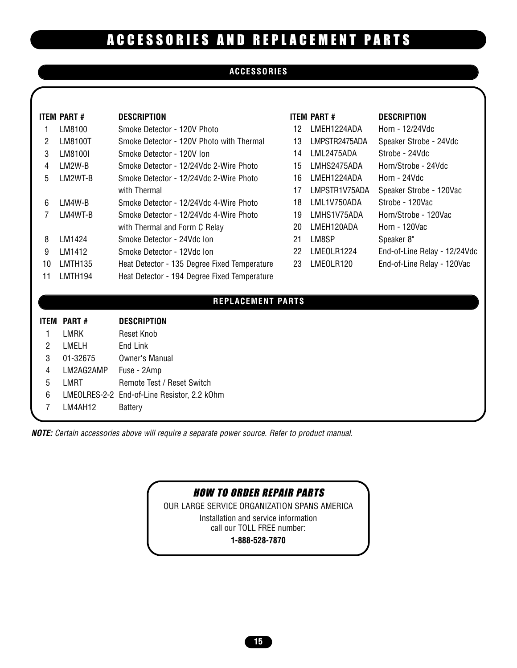# ACCESSORIES AND REPLACEMENT PARTS

### **ACCESSORIES**

|                | <b>ITEM PART#</b>   | <b>DESCRIPTION</b>                           |    | <b>ITEM PART#</b> | <b>DESCRIPTION</b>           |
|----------------|---------------------|----------------------------------------------|----|-------------------|------------------------------|
| 1              | LM8100              | Smoke Detector - 120V Photo                  | 12 | LMEH1224ADA       | Horn - 12/24Vdc              |
| 2              | LM8100T             | Smoke Detector - 120V Photo with Thermal     | 13 | LMPSTR2475ADA     | Speaker Strobe - 24Vdc       |
| 3              | LM8100I             | Smoke Detector - 120V Ion                    | 14 | LML2475ADA        | Strobe - 24Vdc               |
| 4              | LM2W-B              | Smoke Detector - 12/24Vdc 2-Wire Photo       | 15 | LMHS2475ADA       | Horn/Strobe - 24Vdc          |
| 5              | LM2WT-B             | Smoke Detector - 12/24Vdc 2-Wire Photo       | 16 | LMEH1224ADA       | Horn - 24Vdc                 |
|                |                     | with Thermal                                 | 17 | LMPSTR1V75ADA     | Speaker Strobe - 120Vac      |
| 6              | LM4W-B              | Smoke Detector - 12/24Vdc 4-Wire Photo       | 18 | LML1V750ADA       | Strobe - 120Vac              |
| 7              | LM4WT-B             | Smoke Detector - 12/24Vdc 4-Wire Photo       | 19 | LMHS1V75ADA       | Horn/Strobe - 120Vac         |
|                |                     | with Thermal and Form C Relay                | 20 | LMEH120ADA        | Horn - 120Vac                |
| 8              | LM1424              | Smoke Detector - 24Vdc Ion                   | 21 | LM8SP             | Speaker 8"                   |
| 9              | LM1412              | Smoke Detector - 12Vdc Ion                   | 22 | LMEOLR1224        | End-of-Line Relay - 12/24Vdc |
| 10             | LMTH <sub>135</sub> | Heat Detector - 135 Degree Fixed Temperature | 23 | LMEOLR120         | End-of-Line Relay - 120Vac   |
| 11             | LMTH194             | Heat Detector - 194 Degree Fixed Temperature |    |                   |                              |
|                |                     | <b>REPLACEMENT PARTS</b>                     |    |                   |                              |
|                | <b>ITEM PART#</b>   | <b>DESCRIPTION</b>                           |    |                   |                              |
| 1              | <b>LMRK</b>         | Reset Knob                                   |    |                   |                              |
| $\overline{2}$ | LMELH               | End Link                                     |    |                   |                              |
| 3              | 01-32675            | Owner's Manual                               |    |                   |                              |
| $\overline{4}$ | LM2AG2AMP           | Fuse - 2Amp                                  |    |                   |                              |
| 5              | LMRT                | Remote Test / Reset Switch                   |    |                   |                              |
| 6              |                     | LMEOLRES-2-2 End-of-Line Resistor, 2.2 kOhm  |    |                   |                              |
| 7              | LM4AH12             | <b>Battery</b>                               |    |                   |                              |

*NOTE: Certain accessories above will require a separate power source. Refer to product manual.*

### HOW TO ORDER REPAIR PARTS

OUR LARGE SERVICE ORGANIZATION SPANS AMERICA Installation and service information call our TOLL FREE number: **1-888-528-7870**